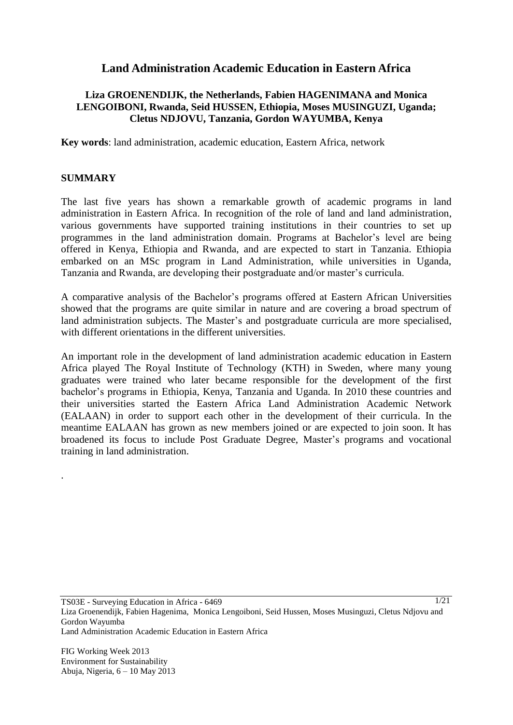# **Land Administration Academic Education in Eastern Africa**

#### **Liza GROENENDIJK, the Netherlands, Fabien HAGENIMANA and Monica LENGOIBONI, Rwanda, Seid HUSSEN, Ethiopia, Moses MUSINGUZI, Uganda; Cletus NDJOVU, Tanzania, Gordon WAYUMBA, Kenya**

**Key words**: land administration, academic education, Eastern Africa, network

#### **SUMMARY**

.

The last five years has shown a remarkable growth of academic programs in land administration in Eastern Africa. In recognition of the role of land and land administration, various governments have supported training institutions in their countries to set up programmes in the land administration domain. Programs at Bachelor"s level are being offered in Kenya, Ethiopia and Rwanda, and are expected to start in Tanzania. Ethiopia embarked on an MSc program in Land Administration, while universities in Uganda, Tanzania and Rwanda, are developing their postgraduate and/or master's curricula.

A comparative analysis of the Bachelor"s programs offered at Eastern African Universities showed that the programs are quite similar in nature and are covering a broad spectrum of land administration subjects. The Master's and postgraduate curricula are more specialised, with different orientations in the different universities.

An important role in the development of land administration academic education in Eastern Africa played The Royal Institute of Technology (KTH) in Sweden, where many young graduates were trained who later became responsible for the development of the first bachelor"s programs in Ethiopia, Kenya, Tanzania and Uganda. In 2010 these countries and their universities started the Eastern Africa Land Administration Academic Network (EALAAN) in order to support each other in the development of their curricula. In the meantime EALAAN has grown as new members joined or are expected to join soon. It has broadened its focus to include Post Graduate Degree, Master"s programs and vocational training in land administration.

TS03E - Surveying Education in Africa - 6469 Liza Groenendijk, Fabien Hagenima, Monica Lengoiboni, Seid Hussen, Moses Musinguzi, Cletus Ndjovu and Gordon Wayumba Land Administration Academic Education in Eastern Africa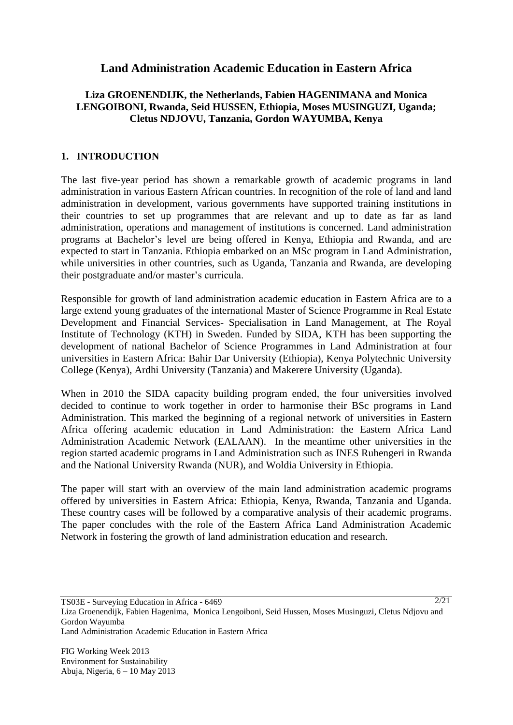# **Land Administration Academic Education in Eastern Africa**

## **Liza GROENENDIJK, the Netherlands, Fabien HAGENIMANA and Monica LENGOIBONI, Rwanda, Seid HUSSEN, Ethiopia, Moses MUSINGUZI, Uganda; Cletus NDJOVU, Tanzania, Gordon WAYUMBA, Kenya**

#### **1. INTRODUCTION**

The last five-year period has shown a remarkable growth of academic programs in land administration in various Eastern African countries. In recognition of the role of land and land administration in development, various governments have supported training institutions in their countries to set up programmes that are relevant and up to date as far as land administration, operations and management of institutions is concerned. Land administration programs at Bachelor"s level are being offered in Kenya, Ethiopia and Rwanda, and are expected to start in Tanzania. Ethiopia embarked on an MSc program in Land Administration, while universities in other countries, such as Uganda, Tanzania and Rwanda, are developing their postgraduate and/or master's curricula.

Responsible for growth of land administration academic education in Eastern Africa are to a large extend young graduates of the international Master of Science Programme in Real Estate Development and Financial Services- Specialisation in Land Management, at The Royal Institute of Technology (KTH) in Sweden. Funded by SIDA, KTH has been supporting the development of national Bachelor of Science Programmes in Land Administration at four universities in Eastern Africa: Bahir Dar University (Ethiopia), Kenya Polytechnic University College (Kenya), Ardhi University (Tanzania) and Makerere University (Uganda).

When in 2010 the SIDA capacity building program ended, the four universities involved decided to continue to work together in order to harmonise their BSc programs in Land Administration. This marked the beginning of a regional network of universities in Eastern Africa offering academic education in Land Administration: the Eastern Africa Land Administration Academic Network (EALAAN). In the meantime other universities in the region started academic programs in Land Administration such as INES Ruhengeri in Rwanda and the National University Rwanda (NUR), and Woldia University in Ethiopia.

The paper will start with an overview of the main land administration academic programs offered by universities in Eastern Africa: Ethiopia, Kenya, Rwanda, Tanzania and Uganda. These country cases will be followed by a comparative analysis of their academic programs. The paper concludes with the role of the Eastern Africa Land Administration Academic Network in fostering the growth of land administration education and research.

Liza Groenendijk, Fabien Hagenima, Monica Lengoiboni, Seid Hussen, Moses Musinguzi, Cletus Ndjovu and Gordon Wayumba

Land Administration Academic Education in Eastern Africa

TS03E - Surveying Education in Africa - 6469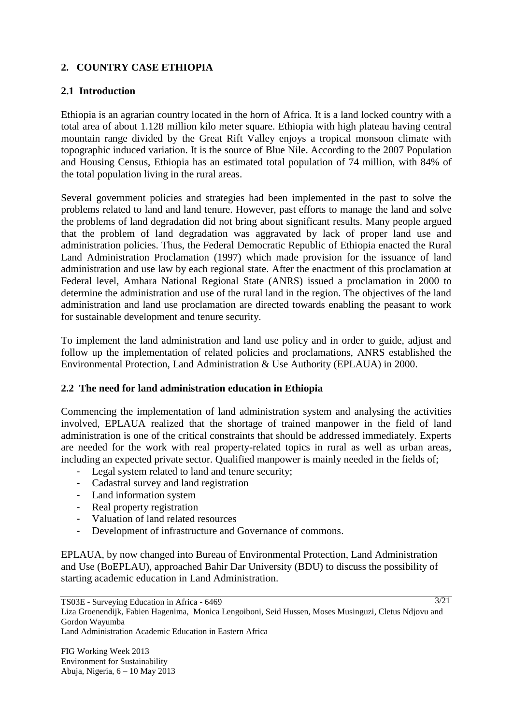## **2. COUNTRY CASE ETHIOPIA**

## **2.1 Introduction**

Ethiopia is an agrarian country located in the horn of Africa. It is a land locked country with a total area of about 1.128 million kilo meter square. Ethiopia with high plateau having central mountain range divided by the Great Rift Valley enjoys a tropical monsoon climate with topographic induced variation. It is the source of Blue Nile. According to the 2007 Population and Housing Census, Ethiopia has an estimated total population of 74 million, with 84% of the total population living in the rural areas.

Several government policies and strategies had been implemented in the past to solve the problems related to land and land tenure. However, past efforts to manage the land and solve the problems of land degradation did not bring about significant results. Many people argued that the problem of land degradation was aggravated by lack of proper land use and administration policies. Thus, the Federal Democratic Republic of Ethiopia enacted the Rural Land Administration Proclamation (1997) which made provision for the issuance of land administration and use law by each regional state. After the enactment of this proclamation at Federal level, Amhara National Regional State (ANRS) issued a proclamation in 2000 to determine the administration and use of the rural land in the region. The objectives of the land administration and land use proclamation are directed towards enabling the peasant to work for sustainable development and tenure security.

To implement the land administration and land use policy and in order to guide, adjust and follow up the implementation of related policies and proclamations, ANRS established the Environmental Protection, Land Administration & Use Authority (EPLAUA) in 2000.

#### **2.2 The need for land administration education in Ethiopia**

Commencing the implementation of land administration system and analysing the activities involved, EPLAUA realized that the shortage of trained manpower in the field of land administration is one of the critical constraints that should be addressed immediately. Experts are needed for the work with real property-related topics in rural as well as urban areas, including an expected private sector. Qualified manpower is mainly needed in the fields of;

- Legal system related to land and tenure security;
- Cadastral survey and land registration
- Land information system
- Real property registration
- Valuation of land related resources
- Development of infrastructure and Governance of commons.

EPLAUA, by now changed into Bureau of Environmental Protection, Land Administration and Use (BoEPLAU), approached Bahir Dar University (BDU) to discuss the possibility of starting academic education in Land Administration.

TS03E - Surveying Education in Africa - 6469 Liza Groenendijk, Fabien Hagenima, Monica Lengoiboni, Seid Hussen, Moses Musinguzi, Cletus Ndjovu and Gordon Wayumba Land Administration Academic Education in Eastern Africa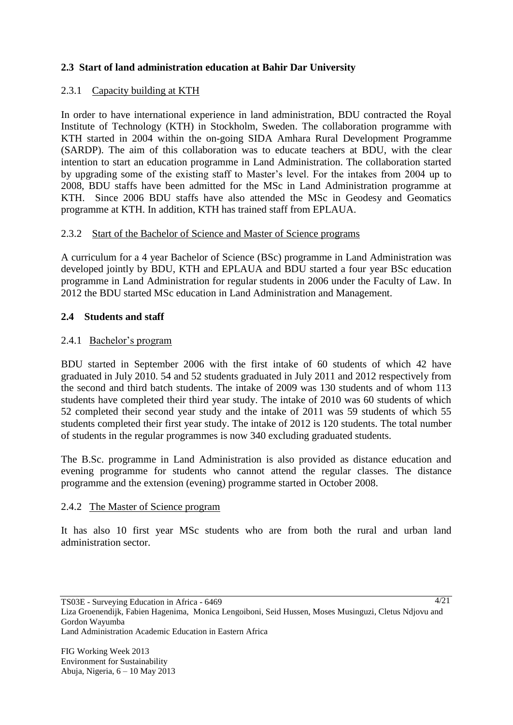## **2.3 Start of land administration education at Bahir Dar University**

## 2.3.1 Capacity building at KTH

In order to have international experience in land administration, BDU contracted the Royal Institute of Technology (KTH) in Stockholm, Sweden. The collaboration programme with KTH started in 2004 within the on-going SIDA Amhara Rural Development Programme (SARDP). The aim of this collaboration was to educate teachers at BDU, with the clear intention to start an education programme in Land Administration. The collaboration started by upgrading some of the existing staff to Master"s level. For the intakes from 2004 up to 2008, BDU staffs have been admitted for the MSc in Land Administration programme at KTH. Since 2006 BDU staffs have also attended the MSc in Geodesy and Geomatics programme at KTH. In addition, KTH has trained staff from EPLAUA.

#### 2.3.2 Start of the Bachelor of Science and Master of Science programs

A curriculum for a 4 year Bachelor of Science (BSc) programme in Land Administration was developed jointly by BDU, KTH and EPLAUA and BDU started a four year BSc education programme in Land Administration for regular students in 2006 under the Faculty of Law. In 2012 the BDU started MSc education in Land Administration and Management.

#### **2.4 Students and staff**

#### 2.4.1 Bachelor's program

BDU started in September 2006 with the first intake of 60 students of which 42 have graduated in July 2010. 54 and 52 students graduated in July 2011 and 2012 respectively from the second and third batch students. The intake of 2009 was 130 students and of whom 113 students have completed their third year study. The intake of 2010 was 60 students of which 52 completed their second year study and the intake of 2011 was 59 students of which 55 students completed their first year study. The intake of 2012 is 120 students. The total number of students in the regular programmes is now 340 excluding graduated students.

The B.Sc. programme in Land Administration is also provided as distance education and evening programme for students who cannot attend the regular classes. The distance programme and the extension (evening) programme started in October 2008.

#### 2.4.2 The Master of Science program

It has also 10 first year MSc students who are from both the rural and urban land administration sector.

Liza Groenendijk, Fabien Hagenima, Monica Lengoiboni, Seid Hussen, Moses Musinguzi, Cletus Ndjovu and Gordon Wayumba

Land Administration Academic Education in Eastern Africa

TS03E - Surveying Education in Africa - 6469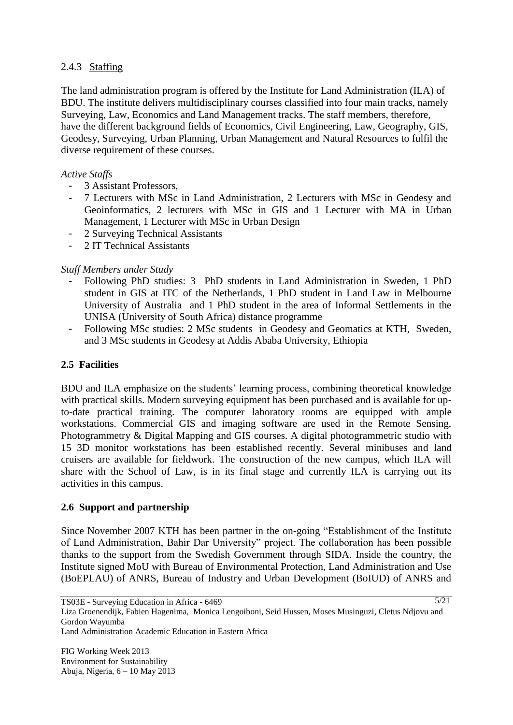## 2.4.3 Staffing

The land administration program is offered by the Institute for Land Administration (ILA) of BDU. The institute delivers multidisciplinary courses classified into four main tracks, namely Surveying, Law, Economics and Land Management tracks. The staff members, therefore, have the different background fields of Economics, Civil Engineering, Law, Geography, GIS, Geodesy, Surveying, Urban Planning, Urban Management and Natural Resources to fulfil the diverse requirement of these courses.

#### *Active Staffs*

- 3 Assistant Professors,
- 7 Lecturers with MSc in Land Administration, 2 Lecturers with MSc in Geodesy and Geoinformatics, 2 lecturers with MSc in GIS and 1 Lecturer with MA in Urban Management, 1 Lecturer with MSc in Urban Design
- 2 Surveying Technical Assistants
- 2 IT Technical Assistants

## *Staff Members under Study*

- Following PhD studies: 3 PhD students in Land Administration in Sweden, 1 PhD student in GIS at ITC of the Netherlands, 1 PhD student in Land Law in Melbourne University of Australia and 1 PhD student in the area of Informal Settlements in the UNISA (University of South Africa) distance programme
- Following MSc studies: 2 MSc students in Geodesy and Geomatics at KTH, Sweden, and 3 MSc students in Geodesy at Addis Ababa University, Ethiopia

# **2.5 Facilities**

BDU and ILA emphasize on the students" learning process, combining theoretical knowledge with practical skills. Modern surveying equipment has been purchased and is available for upto-date practical training. The computer laboratory rooms are equipped with ample workstations. Commercial GIS and imaging software are used in the Remote Sensing, Photogrammetry & Digital Mapping and GIS courses. A digital photogrammetric studio with 15 3D monitor workstations has been established recently. Several minibuses and land cruisers are available for fieldwork. The construction of the new campus, which ILA will share with the School of Law, is in its final stage and currently ILA is carrying out its activities in this campus.

#### **2.6 Support and partnership**

Since November 2007 KTH has been partner in the on-going "Establishment of the Institute of Land Administration, Bahir Dar University" project. The collaboration has been possible thanks to the support from the Swedish Government through SIDA. Inside the country, the Institute signed MoU with Bureau of Environmental Protection, Land Administration and Use (BoEPLAU) of ANRS, Bureau of Industry and Urban Development (BoIUD) of ANRS and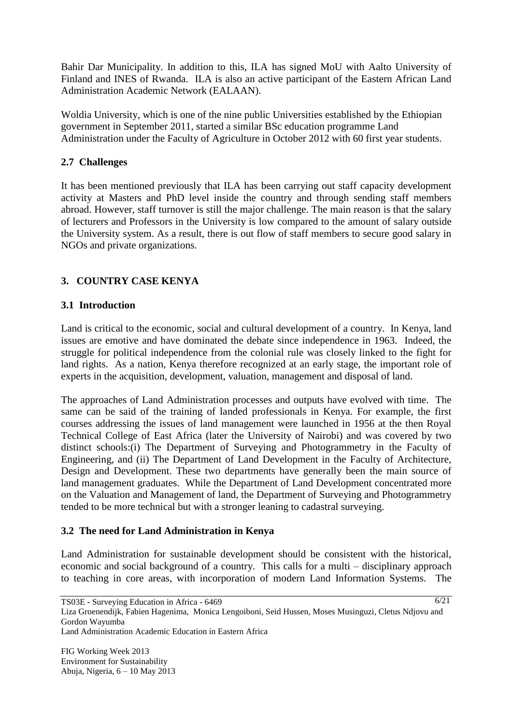Bahir Dar Municipality. In addition to this, ILA has signed MoU with Aalto University of Finland and INES of Rwanda. ILA is also an active participant of the Eastern African Land Administration Academic Network (EALAAN).

Woldia University, which is one of the nine public Universities established by the Ethiopian government in September 2011, started a similar BSc education programme Land Administration under the Faculty of Agriculture in October 2012 with 60 first year students.

## **2.7 Challenges**

It has been mentioned previously that ILA has been carrying out staff capacity development activity at Masters and PhD level inside the country and through sending staff members abroad. However, staff turnover is still the major challenge. The main reason is that the salary of lecturers and Professors in the University is low compared to the amount of salary outside the University system. As a result, there is out flow of staff members to secure good salary in NGOs and private organizations.

# **3. COUNTRY CASE KENYA**

# **3.1 Introduction**

Land is critical to the economic, social and cultural development of a country. In Kenya, land issues are emotive and have dominated the debate since independence in 1963. Indeed, the struggle for political independence from the colonial rule was closely linked to the fight for land rights. As a nation, Kenya therefore recognized at an early stage, the important role of experts in the acquisition, development, valuation, management and disposal of land.

The approaches of Land Administration processes and outputs have evolved with time. The same can be said of the training of landed professionals in Kenya. For example, the first courses addressing the issues of land management were launched in 1956 at the then Royal Technical College of East Africa (later the University of Nairobi) and was covered by two distinct schools:(i) The Department of Surveying and Photogrammetry in the Faculty of Engineering, and (ii) The Department of Land Development in the Faculty of Architecture, Design and Development. These two departments have generally been the main source of land management graduates. While the Department of Land Development concentrated more on the Valuation and Management of land, the Department of Surveying and Photogrammetry tended to be more technical but with a stronger leaning to cadastral surveying.

# **3.2 The need for Land Administration in Kenya**

Land Administration for sustainable development should be consistent with the historical, economic and social background of a country. This calls for a multi – disciplinary approach to teaching in core areas, with incorporation of modern Land Information Systems. The

TS03E - Surveying Education in Africa - 6469 Liza Groenendijk, Fabien Hagenima, Monica Lengoiboni, Seid Hussen, Moses Musinguzi, Cletus Ndjovu and Gordon Wayumba Land Administration Academic Education in Eastern Africa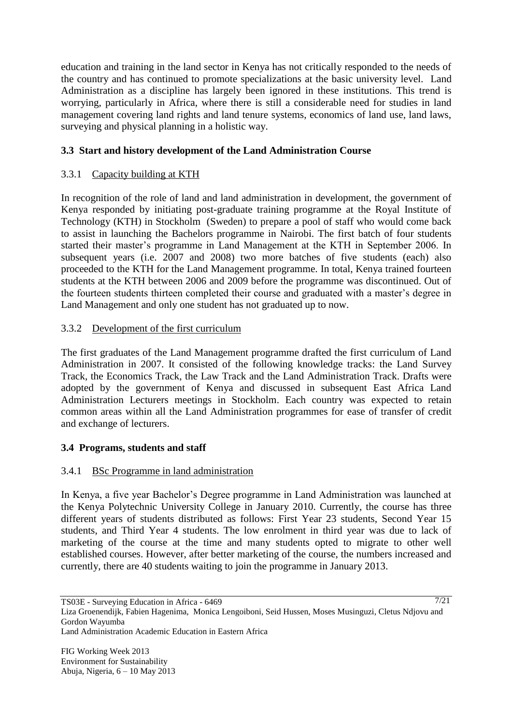education and training in the land sector in Kenya has not critically responded to the needs of the country and has continued to promote specializations at the basic university level. Land Administration as a discipline has largely been ignored in these institutions. This trend is worrying, particularly in Africa, where there is still a considerable need for studies in land management covering land rights and land tenure systems, economics of land use, land laws, surveying and physical planning in a holistic way.

## **3.3 Start and history development of the Land Administration Course**

## 3.3.1 Capacity building at KTH

In recognition of the role of land and land administration in development, the government of Kenya responded by initiating post-graduate training programme at the Royal Institute of Technology (KTH) in Stockholm (Sweden) to prepare a pool of staff who would come back to assist in launching the Bachelors programme in Nairobi. The first batch of four students started their master's programme in Land Management at the KTH in September 2006. In subsequent years (i.e. 2007 and 2008) two more batches of five students (each) also proceeded to the KTH for the Land Management programme. In total, Kenya trained fourteen students at the KTH between 2006 and 2009 before the programme was discontinued. Out of the fourteen students thirteen completed their course and graduated with a master's degree in Land Management and only one student has not graduated up to now.

#### 3.3.2 Development of the first curriculum

The first graduates of the Land Management programme drafted the first curriculum of Land Administration in 2007. It consisted of the following knowledge tracks: the Land Survey Track, the Economics Track, the Law Track and the Land Administration Track. Drafts were adopted by the government of Kenya and discussed in subsequent East Africa Land Administration Lecturers meetings in Stockholm. Each country was expected to retain common areas within all the Land Administration programmes for ease of transfer of credit and exchange of lecturers.

#### **3.4 Programs, students and staff**

#### 3.4.1 BSc Programme in land administration

In Kenya, a five year Bachelor"s Degree programme in Land Administration was launched at the Kenya Polytechnic University College in January 2010. Currently, the course has three different years of students distributed as follows: First Year 23 students, Second Year 15 students, and Third Year 4 students. The low enrolment in third year was due to lack of marketing of the course at the time and many students opted to migrate to other well established courses. However, after better marketing of the course, the numbers increased and currently, there are 40 students waiting to join the programme in January 2013.

Land Administration Academic Education in Eastern Africa

TS03E - Surveying Education in Africa - 6469

Liza Groenendijk, Fabien Hagenima, Monica Lengoiboni, Seid Hussen, Moses Musinguzi, Cletus Ndjovu and Gordon Wayumba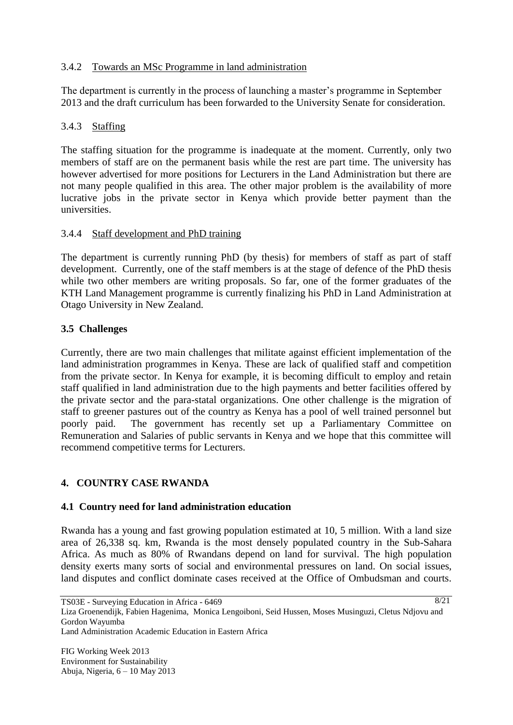## 3.4.2 Towards an MSc Programme in land administration

The department is currently in the process of launching a master's programme in September 2013 and the draft curriculum has been forwarded to the University Senate for consideration.

## 3.4.3 Staffing

The staffing situation for the programme is inadequate at the moment. Currently, only two members of staff are on the permanent basis while the rest are part time. The university has however advertised for more positions for Lecturers in the Land Administration but there are not many people qualified in this area. The other major problem is the availability of more lucrative jobs in the private sector in Kenya which provide better payment than the universities.

#### 3.4.4 Staff development and PhD training

The department is currently running PhD (by thesis) for members of staff as part of staff development. Currently, one of the staff members is at the stage of defence of the PhD thesis while two other members are writing proposals. So far, one of the former graduates of the KTH Land Management programme is currently finalizing his PhD in Land Administration at Otago University in New Zealand.

#### **3.5 Challenges**

Currently, there are two main challenges that militate against efficient implementation of the land administration programmes in Kenya. These are lack of qualified staff and competition from the private sector. In Kenya for example, it is becoming difficult to employ and retain staff qualified in land administration due to the high payments and better facilities offered by the private sector and the para-statal organizations. One other challenge is the migration of staff to greener pastures out of the country as Kenya has a pool of well trained personnel but poorly paid. The government has recently set up a Parliamentary Committee on Remuneration and Salaries of public servants in Kenya and we hope that this committee will recommend competitive terms for Lecturers.

#### **4. COUNTRY CASE RWANDA**

#### **4.1 Country need for land administration education**

Rwanda has a young and fast growing population estimated at 10, 5 million. With a land size area of 26,338 sq. km, Rwanda is the most densely populated country in the Sub-Sahara Africa. As much as 80% of Rwandans depend on land for survival. The high population density exerts many sorts of social and environmental pressures on land. On social issues, land disputes and conflict dominate cases received at the Office of Ombudsman and courts.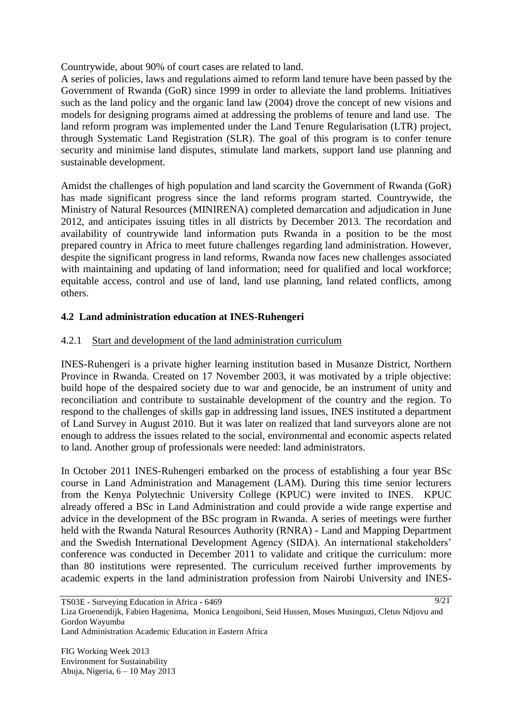Countrywide, about 90% of court cases are related to land.

A series of policies, laws and regulations aimed to reform land tenure have been passed by the Government of Rwanda (GoR) since 1999 in order to alleviate the land problems. Initiatives such as the land policy and the organic land law (2004) drove the concept of new visions and models for designing programs aimed at addressing the problems of tenure and land use. The land reform program was implemented under the Land Tenure Regularisation (LTR) project, through Systematic Land Registration (SLR). The goal of this program is to confer tenure security and minimise land disputes, stimulate land markets, support land use planning and sustainable development.

Amidst the challenges of high population and land scarcity the Government of Rwanda (GoR) has made significant progress since the land reforms program started. Countrywide, the Ministry of Natural Resources (MINIRENA) completed demarcation and adjudication in June 2012, and anticipates issuing titles in all districts by December 2013. The recordation and availability of countrywide land information puts Rwanda in a position to be the most prepared country in Africa to meet future challenges regarding land administration. However, despite the significant progress in land reforms, Rwanda now faces new challenges associated with maintaining and updating of land information; need for qualified and local workforce; equitable access, control and use of land, land use planning, land related conflicts, among others.

## **4.2 Land administration education at INES-Ruhengeri**

#### 4.2.1 Start and development of the land administration curriculum

INES-Ruhengeri is a private higher learning institution based in Musanze District, Northern Province in Rwanda. Created on 17 November 2003, it was motivated by a triple objective: build hope of the despaired society due to war and genocide, be an instrument of unity and reconciliation and contribute to sustainable development of the country and the region. To respond to the challenges of skills gap in addressing land issues, INES instituted a department of Land Survey in August 2010. But it was later on realized that land surveyors alone are not enough to address the issues related to the social, environmental and economic aspects related to land. Another group of professionals were needed: land administrators.

In October 2011 INES-Ruhengeri embarked on the process of establishing a four year BSc course in Land Administration and Management (LAM). During this time senior lecturers from the Kenya Polytechnic University College (KPUC) were invited to INES. KPUC already offered a BSc in Land Administration and could provide a wide range expertise and advice in the development of the BSc program in Rwanda. A series of meetings were further held with the Rwanda Natural Resources Authority (RNRA) - Land and Mapping Department and the Swedish International Development Agency (SIDA). An international stakeholders" conference was conducted in December 2011 to validate and critique the curriculum: more than 80 institutions were represented. The curriculum received further improvements by academic experts in the land administration profession from Nairobi University and INES-

TS03E - Surveying Education in Africa - 6469 Liza Groenendijk, Fabien Hagenima, Monica Lengoiboni, Seid Hussen, Moses Musinguzi, Cletus Ndjovu and Gordon Wayumba Land Administration Academic Education in Eastern Africa 9/21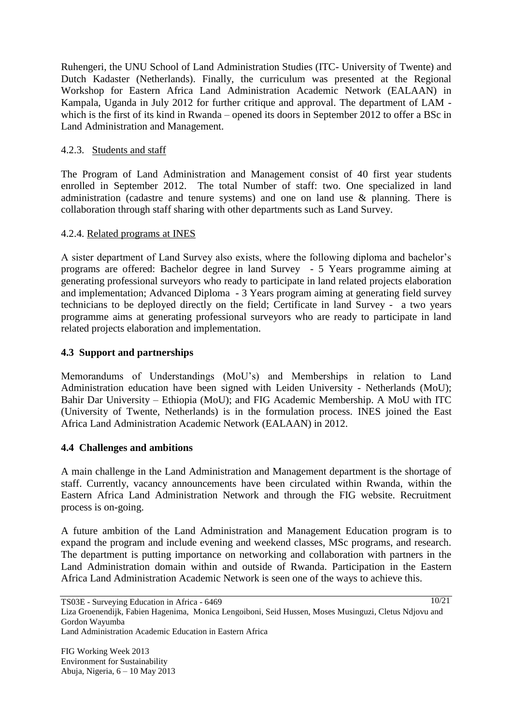Ruhengeri, the UNU School of Land Administration Studies (ITC- University of Twente) and Dutch Kadaster (Netherlands). Finally, the curriculum was presented at the Regional Workshop for Eastern Africa Land Administration Academic Network (EALAAN) in Kampala, Uganda in July 2012 for further critique and approval. The department of LAM which is the first of its kind in Rwanda – opened its doors in September 2012 to offer a BSc in Land Administration and Management.

## 4.2.3. Students and staff

The Program of Land Administration and Management consist of 40 first year students enrolled in September 2012. The total Number of staff: two. One specialized in land administration (cadastre and tenure systems) and one on land use & planning. There is collaboration through staff sharing with other departments such as Land Survey.

#### 4.2.4. Related programs at INES

A sister department of Land Survey also exists, where the following diploma and bachelor"s programs are offered: Bachelor degree in land Survey - 5 Years programme aiming at generating professional surveyors who ready to participate in land related projects elaboration and implementation; Advanced Diploma - 3 Years program aiming at generating field survey technicians to be deployed directly on the field; Certificate in land Survey - a two years programme aims at generating professional surveyors who are ready to participate in land related projects elaboration and implementation.

#### **4.3 Support and partnerships**

Memorandums of Understandings (MoU"s) and Memberships in relation to Land Administration education have been signed with Leiden University - Netherlands (MoU); Bahir Dar University – Ethiopia (MoU); and FIG Academic Membership. A MoU with ITC (University of Twente, Netherlands) is in the formulation process. INES joined the East Africa Land Administration Academic Network (EALAAN) in 2012.

#### **4.4 Challenges and ambitions**

A main challenge in the Land Administration and Management department is the shortage of staff. Currently, vacancy announcements have been circulated within Rwanda, within the Eastern Africa Land Administration Network and through the FIG website. Recruitment process is on-going.

A future ambition of the Land Administration and Management Education program is to expand the program and include evening and weekend classes, MSc programs, and research. The department is putting importance on networking and collaboration with partners in the Land Administration domain within and outside of Rwanda. Participation in the Eastern Africa Land Administration Academic Network is seen one of the ways to achieve this.

TS03E - Surveying Education in Africa - 6469 Liza Groenendijk, Fabien Hagenima, Monica Lengoiboni, Seid Hussen, Moses Musinguzi, Cletus Ndjovu and Gordon Wayumba Land Administration Academic Education in Eastern Africa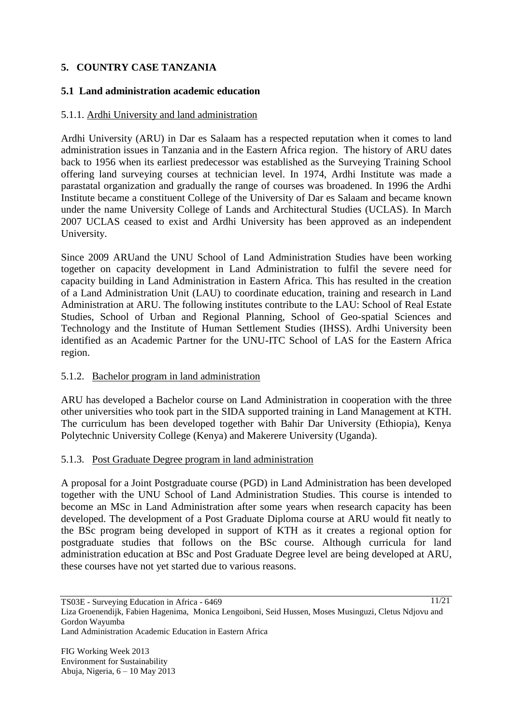# **5. COUNTRY CASE TANZANIA**

## **5.1 Land administration academic education**

## 5.1.1. Ardhi University and land administration

Ardhi University (ARU) in Dar es Salaam has a respected reputation when it comes to land administration issues in Tanzania and in the Eastern Africa region. The history of ARU dates back to 1956 when its earliest predecessor was established as the Surveying Training School offering land surveying courses at technician level. In 1974, Ardhi Institute was made a parastatal organization and gradually the range of courses was broadened. In 1996 the Ardhi Institute became a constituent College of the University of Dar es Salaam and became known under the name University College of Lands and Architectural Studies (UCLAS). In March 2007 UCLAS ceased to exist and Ardhi University has been approved as an independent University.

Since 2009 ARUand the UNU School of Land Administration Studies have been working together on capacity development in Land Administration to fulfil the severe need for capacity building in Land Administration in Eastern Africa. This has resulted in the creation of a Land Administration Unit (LAU) to coordinate education, training and research in Land Administration at ARU. The following institutes contribute to the LAU: School of Real Estate Studies, School of Urban and Regional Planning, School of Geo-spatial Sciences and Technology and the Institute of Human Settlement Studies (IHSS). Ardhi University been identified as an Academic Partner for the UNU-ITC School of LAS for the Eastern Africa region.

#### 5.1.2. Bachelor program in land administration

ARU has developed a Bachelor course on Land Administration in cooperation with the three other universities who took part in the SIDA supported training in Land Management at KTH. The curriculum has been developed together with Bahir Dar University (Ethiopia), Kenya Polytechnic University College (Kenya) and Makerere University (Uganda).

#### 5.1.3. Post Graduate Degree program in land administration

A proposal for a Joint Postgraduate course (PGD) in Land Administration has been developed together with the UNU School of Land Administration Studies. This course is intended to become an MSc in Land Administration after some years when research capacity has been developed. The development of a Post Graduate Diploma course at ARU would fit neatly to the BSc program being developed in support of KTH as it creates a regional option for postgraduate studies that follows on the BSc course. Although curricula for land administration education at BSc and Post Graduate Degree level are being developed at ARU, these courses have not yet started due to various reasons.

TS03E - Surveying Education in Africa - 6469 Liza Groenendijk, Fabien Hagenima, Monica Lengoiboni, Seid Hussen, Moses Musinguzi, Cletus Ndjovu and Gordon Wayumba Land Administration Academic Education in Eastern Africa 11/21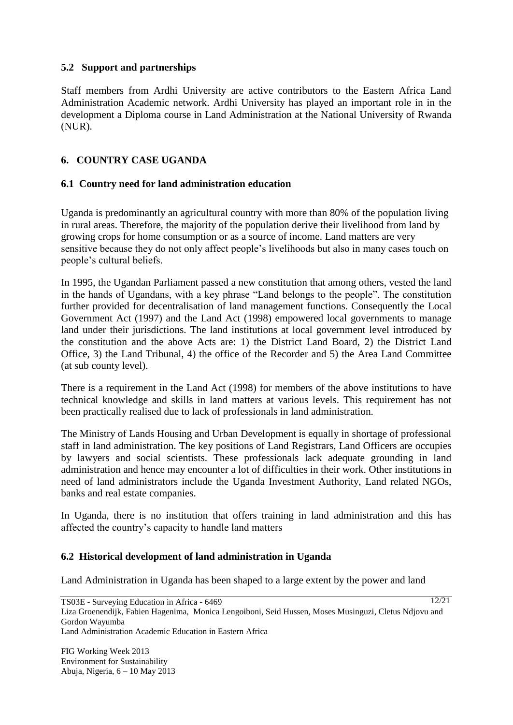## **5.2 Support and partnerships**

Staff members from Ardhi University are active contributors to the Eastern Africa Land Administration Academic network. Ardhi University has played an important role in in the development a Diploma course in Land Administration at the National University of Rwanda (NUR).

# **6. COUNTRY CASE UGANDA**

## **6.1 Country need for land administration education**

Uganda is predominantly an agricultural country with more than 80% of the population living in rural areas. Therefore, the majority of the population derive their livelihood from land by growing crops for home consumption or as a source of income. Land matters are very sensitive because they do not only affect people"s livelihoods but also in many cases touch on people"s cultural beliefs.

In 1995, the Ugandan Parliament passed a new constitution that among others, vested the land in the hands of Ugandans, with a key phrase "Land belongs to the people". The constitution further provided for decentralisation of land management functions. Consequently the Local Government Act (1997) and the Land Act (1998) empowered local governments to manage land under their jurisdictions. The land institutions at local government level introduced by the constitution and the above Acts are: 1) the District Land Board, 2) the District Land Office, 3) the Land Tribunal, 4) the office of the Recorder and 5) the Area Land Committee (at sub county level).

There is a requirement in the Land Act (1998) for members of the above institutions to have technical knowledge and skills in land matters at various levels. This requirement has not been practically realised due to lack of professionals in land administration.

The Ministry of Lands Housing and Urban Development is equally in shortage of professional staff in land administration. The key positions of Land Registrars, Land Officers are occupies by lawyers and social scientists. These professionals lack adequate grounding in land administration and hence may encounter a lot of difficulties in their work. Other institutions in need of land administrators include the Uganda Investment Authority, Land related NGOs, banks and real estate companies.

In Uganda, there is no institution that offers training in land administration and this has affected the country"s capacity to handle land matters

# **6.2 Historical development of land administration in Uganda**

Land Administration in Uganda has been shaped to a large extent by the power and land

TS03E - Surveying Education in Africa - 6469 Liza Groenendijk, Fabien Hagenima, Monica Lengoiboni, Seid Hussen, Moses Musinguzi, Cletus Ndjovu and Gordon Wayumba Land Administration Academic Education in Eastern Africa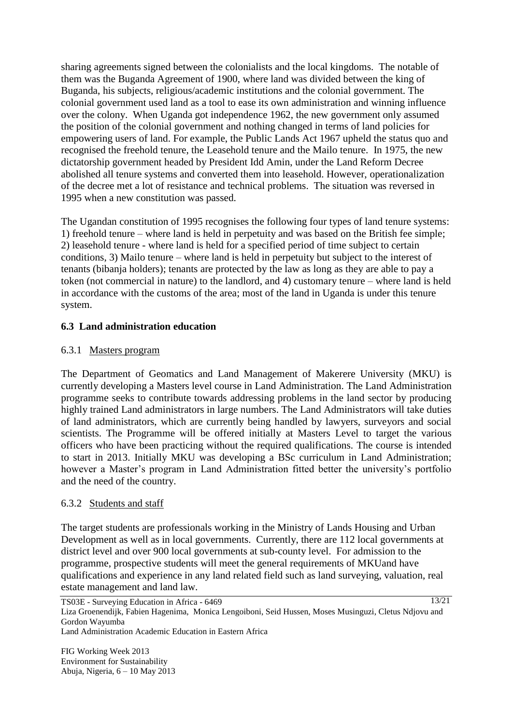sharing agreements signed between the colonialists and the local kingdoms. The notable of them was the Buganda Agreement of 1900, where land was divided between the king of Buganda, his subjects, religious/academic institutions and the colonial government. The colonial government used land as a tool to ease its own administration and winning influence over the colony. When Uganda got independence 1962, the new government only assumed the position of the colonial government and nothing changed in terms of land policies for empowering users of land. For example, the Public Lands Act 1967 upheld the status quo and recognised the freehold tenure, the Leasehold tenure and the Mailo tenure. In 1975, the new dictatorship government headed by President Idd Amin, under the Land Reform Decree abolished all tenure systems and converted them into leasehold. However, operationalization of the decree met a lot of resistance and technical problems. The situation was reversed in 1995 when a new constitution was passed.

The Ugandan constitution of 1995 recognises the following four types of land tenure systems: 1) freehold tenure – where land is held in perpetuity and was based on the British fee simple; 2) leasehold tenure - where land is held for a specified period of time subject to certain conditions, 3) Mailo tenure – where land is held in perpetuity but subject to the interest of tenants (bibanja holders); tenants are protected by the law as long as they are able to pay a token (not commercial in nature) to the landlord, and 4) customary tenure – where land is held in accordance with the customs of the area; most of the land in Uganda is under this tenure system.

#### **6.3 Land administration education**

#### 6.3.1 Masters program

The Department of Geomatics and Land Management of Makerere University (MKU) is currently developing a Masters level course in Land Administration. The Land Administration programme seeks to contribute towards addressing problems in the land sector by producing highly trained Land administrators in large numbers. The Land Administrators will take duties of land administrators, which are currently being handled by lawyers, surveyors and social scientists. The Programme will be offered initially at Masters Level to target the various officers who have been practicing without the required qualifications. The course is intended to start in 2013. Initially MKU was developing a BSc curriculum in Land Administration; however a Master's program in Land Administration fitted better the university's portfolio and the need of the country.

# 6.3.2 Students and staff

The target students are professionals working in the Ministry of Lands Housing and Urban Development as well as in local governments. Currently, there are 112 local governments at district level and over 900 local governments at sub-county level. For admission to the programme, prospective students will meet the general requirements of MKUand have qualifications and experience in any land related field such as land surveying, valuation, real estate management and land law.

TS03E - Surveying Education in Africa - 6469 Liza Groenendijk, Fabien Hagenima, Monica Lengoiboni, Seid Hussen, Moses Musinguzi, Cletus Ndjovu and Gordon Wayumba Land Administration Academic Education in Eastern Africa 13/21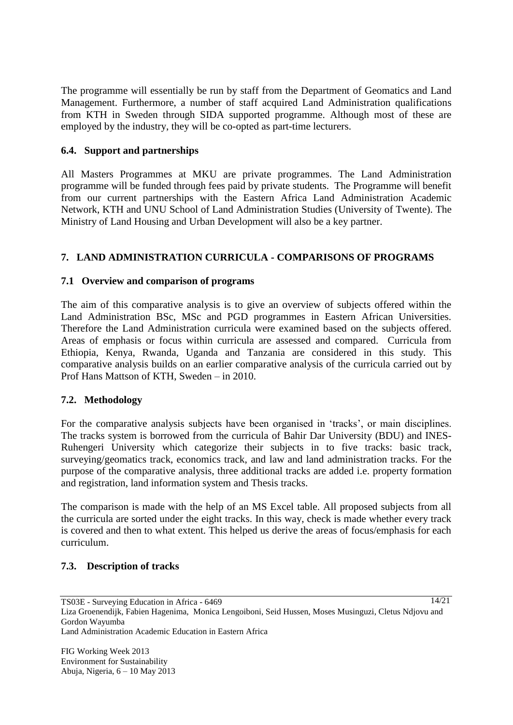The programme will essentially be run by staff from the Department of Geomatics and Land Management. Furthermore, a number of staff acquired Land Administration qualifications from KTH in Sweden through SIDA supported programme. Although most of these are employed by the industry, they will be co-opted as part-time lecturers.

#### **6.4. Support and partnerships**

All Masters Programmes at MKU are private programmes. The Land Administration programme will be funded through fees paid by private students. The Programme will benefit from our current partnerships with the Eastern Africa Land Administration Academic Network, KTH and UNU School of Land Administration Studies (University of Twente). The Ministry of Land Housing and Urban Development will also be a key partner.

# **7. LAND ADMINISTRATION CURRICULA - COMPARISONS OF PROGRAMS**

## **7.1 Overview and comparison of programs**

The aim of this comparative analysis is to give an overview of subjects offered within the Land Administration BSc, MSc and PGD programmes in Eastern African Universities. Therefore the Land Administration curricula were examined based on the subjects offered. Areas of emphasis or focus within curricula are assessed and compared. Curricula from Ethiopia, Kenya, Rwanda, Uganda and Tanzania are considered in this study. This comparative analysis builds on an earlier comparative analysis of the curricula carried out by Prof Hans Mattson of KTH, Sweden – in 2010.

#### **7.2. Methodology**

For the comparative analysis subjects have been organised in 'tracks', or main disciplines. The tracks system is borrowed from the curricula of Bahir Dar University (BDU) and INES-Ruhengeri University which categorize their subjects in to five tracks: basic track, surveying/geomatics track, economics track, and law and land administration tracks. For the purpose of the comparative analysis, three additional tracks are added i.e. property formation and registration, land information system and Thesis tracks.

The comparison is made with the help of an MS Excel table. All proposed subjects from all the curricula are sorted under the eight tracks. In this way, check is made whether every track is covered and then to what extent. This helped us derive the areas of focus/emphasis for each curriculum.

#### **7.3. Description of tracks**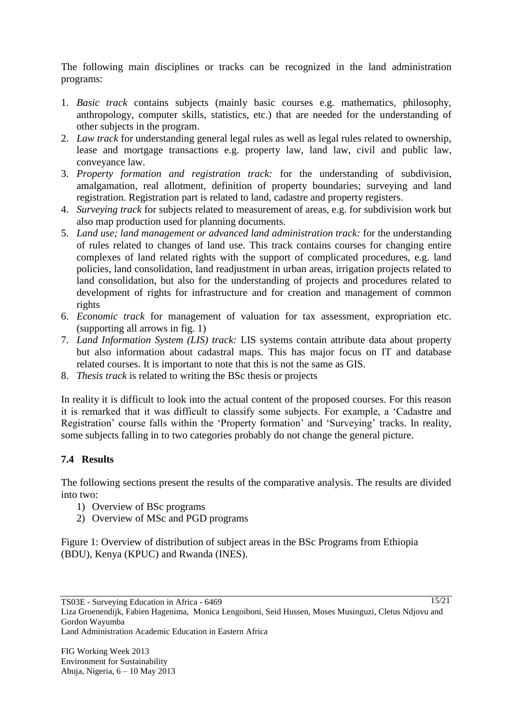The following main disciplines or tracks can be recognized in the land administration programs:

- 1. *Basic track* contains subjects (mainly basic courses e.g. mathematics, philosophy, anthropology, computer skills, statistics, etc.) that are needed for the understanding of other subjects in the program.
- 2. *Law track* for understanding general legal rules as well as legal rules related to ownership, lease and mortgage transactions e.g. property law, land law, civil and public law, conveyance law.
- 3. *Property formation and registration track:* for the understanding of subdivision, amalgamation, real allotment, definition of property boundaries; surveying and land registration. Registration part is related to land, cadastre and property registers.
- 4. *Surveying track* for subjects related to measurement of areas, e.g. for subdivision work but also map production used for planning documents.
- 5. *Land use; land management or advanced land administration track:* for the understanding of rules related to changes of land use. This track contains courses for changing entire complexes of land related rights with the support of complicated procedures, e.g. land policies, land consolidation, land readjustment in urban areas, irrigation projects related to land consolidation, but also for the understanding of projects and procedures related to development of rights for infrastructure and for creation and management of common rights
- 6. *Economic track* for management of valuation for tax assessment, expropriation etc. (supporting all arrows in fig. 1)
- 7. *Land Information System (LIS) track:* LIS systems contain attribute data about property but also information about cadastral maps. This has major focus on IT and database related courses. It is important to note that this is not the same as GIS.
- 8. *Thesis track* is related to writing the BSc thesis or projects

In reality it is difficult to look into the actual content of the proposed courses. For this reason it is remarked that it was difficult to classify some subjects. For example, a "Cadastre and Registration' course falls within the 'Property formation' and 'Surveying' tracks. In reality, some subjects falling in to two categories probably do not change the general picture.

#### **7.4 Results**

The following sections present the results of the comparative analysis. The results are divided into two:

- 1) Overview of BSc programs
- 2) Overview of MSc and PGD programs

Figure 1: Overview of distribution of subject areas in the BSc Programs from Ethiopia (BDU), Kenya (KPUC) and Rwanda (INES).

15/21

Liza Groenendijk, Fabien Hagenima, Monica Lengoiboni, Seid Hussen, Moses Musinguzi, Cletus Ndjovu and Gordon Wayumba

Land Administration Academic Education in Eastern Africa

TS03E - Surveying Education in Africa - 6469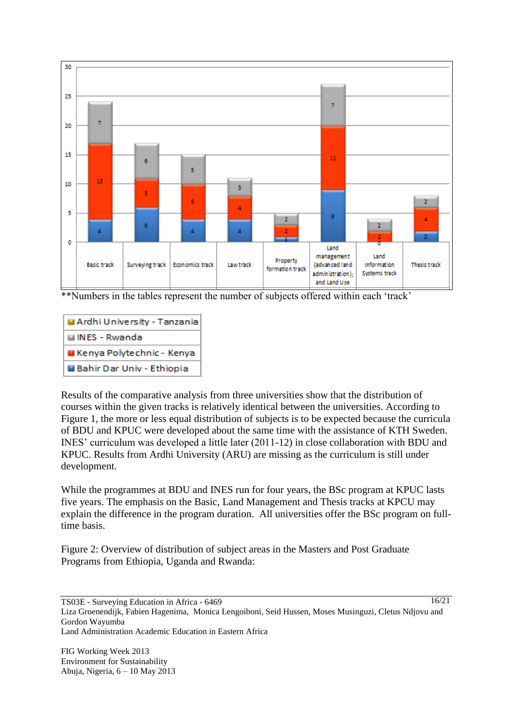

\*\*Numbers in the tables represent the number of subjects offered within each "track"

| Ardhi University - Tanzania |
|-----------------------------|
| <b>■ INES - Rwanda</b>      |
| Kenya Polytechnic - Kenya   |
| Bahir Dar Univ - Ethiopia   |

Results of the comparative analysis from three universities show that the distribution of courses within the given tracks is relatively identical between the universities. According to Figure 1, the more or less equal distribution of subjects is to be expected because the curricula of BDU and KPUC were developed about the same time with the assistance of KTH Sweden. INES" curriculum was developed a little later (2011-12) in close collaboration with BDU and KPUC. Results from Ardhi University (ARU) are missing as the curriculum is still under development.

While the programmes at BDU and INES run for four years, the BSc program at KPUC lasts five years. The emphasis on the Basic, Land Management and Thesis tracks at KPCU may explain the difference in the program duration. All universities offer the BSc program on fulltime basis.

Figure 2: Overview of distribution of subject areas in the Masters and Post Graduate Programs from Ethiopia, Uganda and Rwanda:

TS03E - Surveying Education in Africa - 6469 Liza Groenendijk, Fabien Hagenima, Monica Lengoiboni, Seid Hussen, Moses Musinguzi, Cletus Ndjovu and Gordon Wayumba Land Administration Academic Education in Eastern Africa 16/21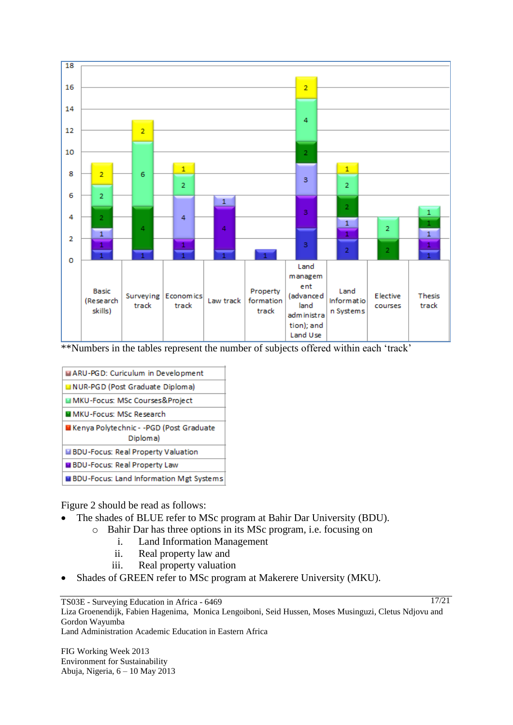

\*\*Numbers in the tables represent the number of subjects offered within each "track"

| ARU-PGD: Curiculum in Development                    |
|------------------------------------------------------|
| INUR-PGD (Post Graduate Diploma)                     |
| <b>■ MKU-Focus: MSc Courses&amp;Project</b>          |
| MKU-Focus: MSc Research                              |
| Kenya Polytechnic - - PGD (Post Graduate<br>Diploma) |
| <b>BDU-Focus: Real Property Valuation</b>            |
| <b>B</b> BDU-Focus: Real Property Law                |
| <b>BDU-Focus: Land Information Mgt Systems</b>       |

Figure 2 should be read as follows:

- The shades of BLUE refer to MSc program at Bahir Dar University (BDU).
	- o Bahir Dar has three options in its MSc program, i.e. focusing on
		- i. Land Information Management
		- ii. Real property law and
		- iii. Real property valuation
- Shades of GREEN refer to MSc program at Makerere University (MKU).

TS03E - Surveying Education in Africa - 6469

Liza Groenendijk, Fabien Hagenima, Monica Lengoiboni, Seid Hussen, Moses Musinguzi, Cletus Ndjovu and Gordon Wayumba

Land Administration Academic Education in Eastern Africa

FIG Working Week 2013 Environment for Sustainability Abuja, Nigeria, 6 – 10 May 2013 17/21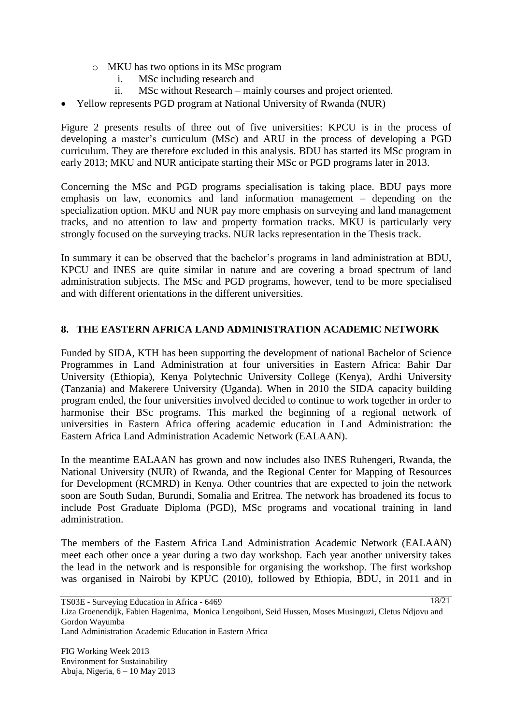- o MKU has two options in its MSc program
	- i. MSc including research and
	- ii. MSc without Research mainly courses and project oriented.
- Yellow represents PGD program at National University of Rwanda (NUR)

Figure 2 presents results of three out of five universities: KPCU is in the process of developing a master's curriculum (MSc) and ARU in the process of developing a PGD curriculum. They are therefore excluded in this analysis. BDU has started its MSc program in early 2013; MKU and NUR anticipate starting their MSc or PGD programs later in 2013.

Concerning the MSc and PGD programs specialisation is taking place. BDU pays more emphasis on law, economics and land information management – depending on the specialization option. MKU and NUR pay more emphasis on surveying and land management tracks, and no attention to law and property formation tracks. MKU is particularly very strongly focused on the surveying tracks. NUR lacks representation in the Thesis track.

In summary it can be observed that the bachelor's programs in land administration at BDU, KPCU and INES are quite similar in nature and are covering a broad spectrum of land administration subjects. The MSc and PGD programs, however, tend to be more specialised and with different orientations in the different universities.

#### **8. THE EASTERN AFRICA LAND ADMINISTRATION ACADEMIC NETWORK**

Funded by SIDA, KTH has been supporting the development of national Bachelor of Science Programmes in Land Administration at four universities in Eastern Africa: Bahir Dar University (Ethiopia), Kenya Polytechnic University College (Kenya), Ardhi University (Tanzania) and Makerere University (Uganda). When in 2010 the SIDA capacity building program ended, the four universities involved decided to continue to work together in order to harmonise their BSc programs. This marked the beginning of a regional network of universities in Eastern Africa offering academic education in Land Administration: the Eastern Africa Land Administration Academic Network (EALAAN).

In the meantime EALAAN has grown and now includes also INES Ruhengeri, Rwanda, the National University (NUR) of Rwanda, and the Regional Center for Mapping of Resources for Development (RCMRD) in Kenya. Other countries that are expected to join the network soon are South Sudan, Burundi, Somalia and Eritrea. The network has broadened its focus to include Post Graduate Diploma (PGD), MSc programs and vocational training in land administration.

The members of the Eastern Africa Land Administration Academic Network (EALAAN) meet each other once a year during a two day workshop. Each year another university takes the lead in the network and is responsible for organising the workshop. The first workshop was organised in Nairobi by KPUC (2010), followed by Ethiopia, BDU, in 2011 and in

TS03E - Surveying Education in Africa - 6469 Liza Groenendijk, Fabien Hagenima, Monica Lengoiboni, Seid Hussen, Moses Musinguzi, Cletus Ndjovu and Gordon Wayumba Land Administration Academic Education in Eastern Africa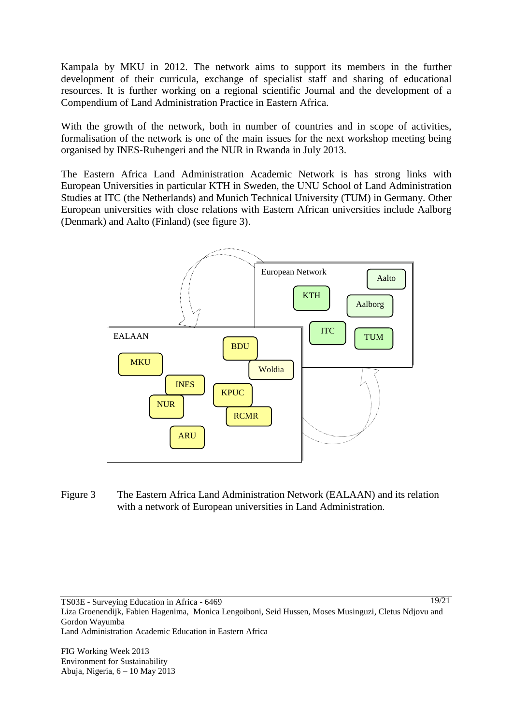Kampala by MKU in 2012. The network aims to support its members in the further development of their curricula, exchange of specialist staff and sharing of educational resources. It is further working on a regional scientific Journal and the development of a Compendium of Land Administration Practice in Eastern Africa.

With the growth of the network, both in number of countries and in scope of activities, formalisation of the network is one of the main issues for the next workshop meeting being organised by INES-Ruhengeri and the NUR in Rwanda in July 2013.

The Eastern Africa Land Administration Academic Network is has strong links with European Universities in particular KTH in Sweden, the UNU School of Land Administration Studies at ITC (the Netherlands) and Munich Technical University (TUM) in Germany. Other European universities with close relations with Eastern African universities include Aalborg (Denmark) and Aalto (Finland) (see figure 3).



Figure 3 The Eastern Africa Land Administration Network (EALAAN) and its relation with a network of European universities in Land Administration.

TS03E - Surveying Education in Africa - 6469 Liza Groenendijk, Fabien Hagenima, Monica Lengoiboni, Seid Hussen, Moses Musinguzi, Cletus Ndjovu and Gordon Wayumba Land Administration Academic Education in Eastern Africa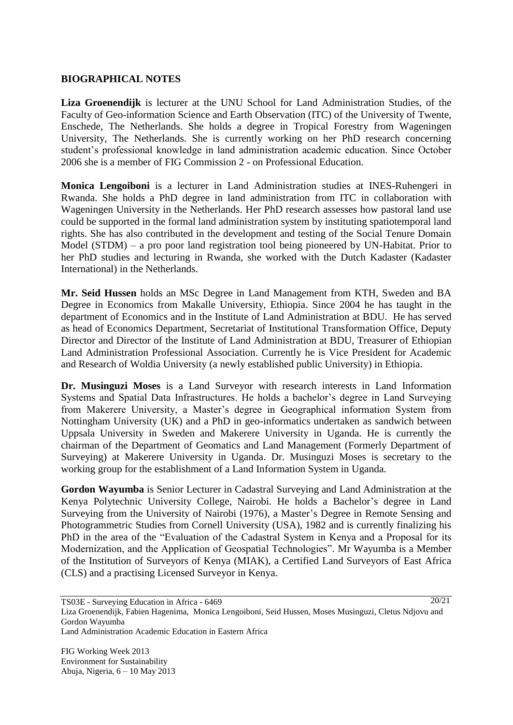#### **BIOGRAPHICAL NOTES**

**Liza Groenendijk** is lecturer at the UNU School for Land Administration Studies, of the Faculty of Geo-information Science and Earth Observation (ITC) of the University of Twente, Enschede, The Netherlands. She holds a degree in Tropical Forestry from Wageningen University, The Netherlands. She is currently working on her PhD research concerning student"s professional knowledge in land administration academic education. Since October 2006 she is a member of FIG Commission 2 - on Professional Education.

**Monica Lengoiboni** is a lecturer in Land Administration studies at INES-Ruhengeri in Rwanda. She holds a PhD degree in land administration from ITC in collaboration with Wageningen University in the Netherlands. Her PhD research assesses how pastoral land use could be supported in the formal land administration system by instituting spatiotemporal land rights. She has also contributed in the development and testing of the Social Tenure Domain Model (STDM) – a pro poor land registration tool being pioneered by UN-Habitat. Prior to her PhD studies and lecturing in Rwanda, she worked with the Dutch Kadaster (Kadaster International) in the Netherlands.

**Mr. Seid Hussen** holds an MSc Degree in Land Management from KTH, Sweden and BA Degree in Economics from Makalle University, Ethiopia. Since 2004 he has taught in the department of Economics and in the Institute of Land Administration at BDU. He has served as head of Economics Department, Secretariat of Institutional Transformation Office, Deputy Director and Director of the Institute of Land Administration at BDU, Treasurer of Ethiopian Land Administration Professional Association. Currently he is Vice President for Academic and Research of Woldia University (a newly established public University) in Ethiopia.

**Dr. Musinguzi Moses** is a Land Surveyor with research interests in Land Information Systems and Spatial Data Infrastructures. He holds a bachelor"s degree in Land Surveying from Makerere University, a Master"s degree in Geographical information System from Nottingham University (UK) and a PhD in geo-informatics undertaken as sandwich between Uppsala University in Sweden and Makerere University in Uganda. He is currently the chairman of the Department of Geomatics and Land Management (Formerly Department of Surveying) at Makerere University in Uganda. Dr. Musinguzi Moses is secretary to the working group for the establishment of a Land Information System in Uganda.

**Gordon Wayumba** is Senior Lecturer in Cadastral Surveying and Land Administration at the Kenya Polytechnic University College, Nairobi. He holds a Bachelor"s degree in Land Surveying from the University of Nairobi (1976), a Master's Degree in Remote Sensing and Photogrammetric Studies from Cornell University (USA), 1982 and is currently finalizing his PhD in the area of the "Evaluation of the Cadastral System in Kenya and a Proposal for its Modernization, and the Application of Geospatial Technologies". Mr Wayumba is a Member of the Institution of Surveyors of Kenya (MIAK), a Certified Land Surveyors of East Africa (CLS) and a practising Licensed Surveyor in Kenya.

TS03E - Surveying Education in Africa - 6469 Liza Groenendijk, Fabien Hagenima, Monica Lengoiboni, Seid Hussen, Moses Musinguzi, Cletus Ndjovu and Gordon Wayumba Land Administration Academic Education in Eastern Africa  $20/21$